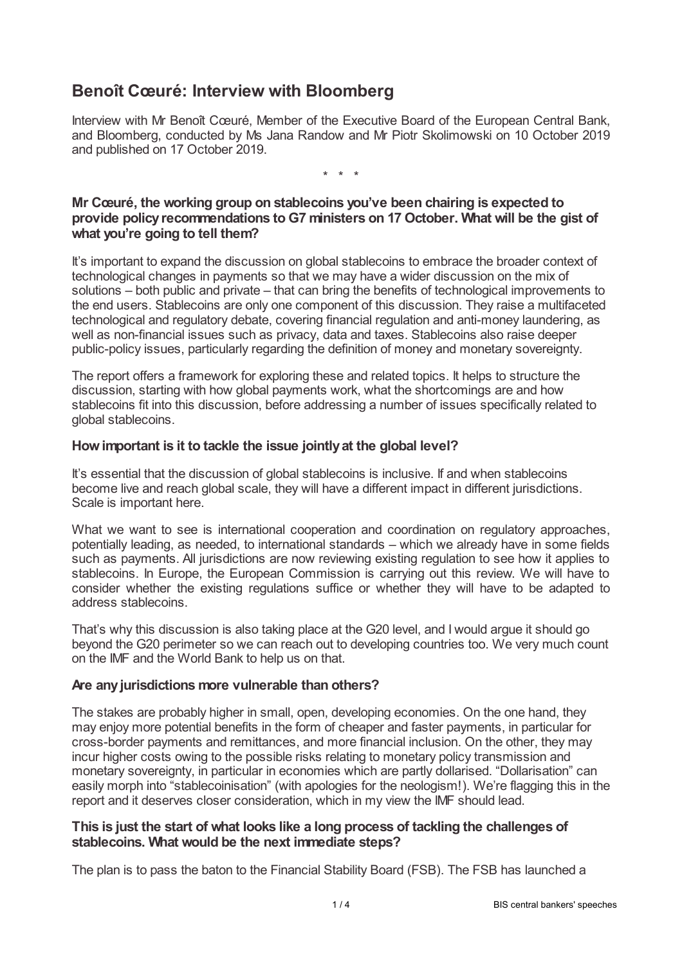# **Benoît Cœuré: Interview with Bloomberg**

Interview with Mr Benoît Cœuré, Member of the Executive Board of the European Central Bank, and Bloomberg, conducted by Ms Jana Randow and Mr Piotr Skolimowski on 10 October 2019 and published on 17 October 2019.

\* \* \*

# **Mr Cœuré, the working group on stablecoins you've been chairing is expected to provide policyrecommendations to G7 ministers on 17October. What will be the gist of what you're going to tell them?**

It's important to expand the discussion on global stablecoins to embrace the broader context of technological changes in payments so that we may have a wider discussion on the mix of solutions – both public and private – that can bring the benefits of technological improvements to the end users. Stablecoins are only one component of this discussion. They raise a multifaceted technological and regulatory debate, covering financial regulation and anti-money laundering, as well as non-financial issues such as privacy, data and taxes. Stablecoins also raise deeper public-policy issues, particularly regarding the definition of money and monetary sovereignty.

The report offers a framework for exploring these and related topics. It helps to structure the discussion, starting with how global payments work, what the shortcomings are and how stablecoins fit into this discussion, before addressing a number of issues specifically related to global stablecoins.

# **Howimportant is it to tackle the issue jointlyat the global level?**

It's essential that the discussion of global stablecoins is inclusive. If and when stablecoins become live and reach global scale, they will have a different impact in different jurisdictions. Scale is important here.

What we want to see is international cooperation and coordination on regulatory approaches, potentially leading, as needed, to international standards – which we already have in some fields such as payments. All jurisdictions are now reviewing existing regulation to see how it applies to stablecoins. In Europe, the European Commission is carrying out this review. We will have to consider whether the existing regulations suffice or whether they will have to be adapted to address stablecoins.

That's why this discussion is also taking place at the G20 level, and I would argue it should go beyond the G20 perimeter so we can reach out to developing countries too. We very much count on the IMF and the World Bank to help us on that.

## **Are anyjurisdictions more vulnerable than others?**

The stakes are probably higher in small, open, developing economies. On the one hand, they may enjoy more potential benefits in the form of cheaper and faster payments, in particular for cross-border payments and remittances, and more financial inclusion. On the other, they may incur higher costs owing to the possible risks relating to monetary policy transmission and monetary sovereignty, in particular in economies which are partly dollarised. "Dollarisation" can easily morph into "stablecoinisation" (with apologies for the neologism!). We're flagging this in the report and it deserves closer consideration, which in my view the IMF should lead.

## **This is just the start of what looks like a long process of tackling the challenges of stablecoins. What would be the next immediate steps?**

The plan is to pass the baton to the Financial Stability Board (FSB). The FSB has launched a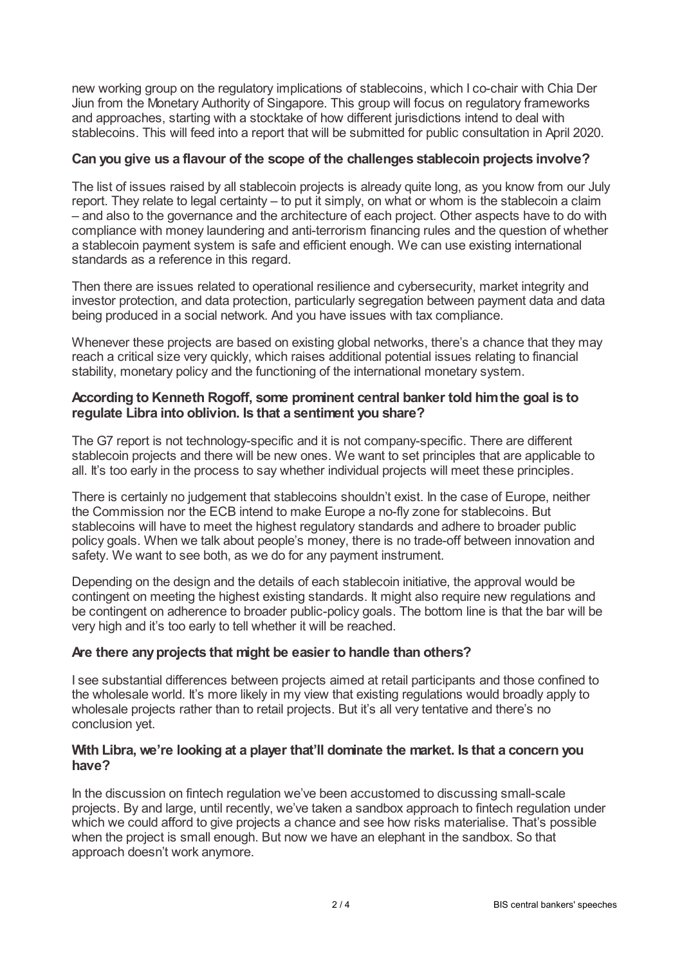new working group on the regulatory implications of stablecoins, which I co-chair with Chia Der Jiun from the Monetary Authority of Singapore. This group will focus on regulatory frameworks and approaches, starting with a stocktake of how different jurisdictions intend to deal with stablecoins. This will feed into a report that will be submitted for public consultation in April 2020.

## **Can you give us a flavour of the scope of the challenges stablecoin projects involve?**

The list of issues raised by all stablecoin projects is already quite long, as you know from our July report. They relate to legal certainty – to put it simply, on what or whom is the stablecoin a claim – and also to the governance and the architecture of each project. Other aspects have to do with compliance with money laundering and anti-terrorism financing rules and the question of whether a stablecoin payment system is safe and efficient enough. We can use existing international standards as a reference in this regard.

Then there are issues related to operational resilience and cybersecurity, market integrity and investor protection, and data protection, particularly segregation between payment data and data being produced in a social network. And you have issues with tax compliance.

Whenever these projects are based on existing global networks, there's a chance that they may reach a critical size very quickly, which raises additional potential issues relating to financial stability, monetary policy and the functioning of the international monetary system.

#### **According to Kenneth Rogoff, some prominent central banker told himthe goal is to regulate Libra into oblivion. Is that a sentiment you share?**

The G7 report is not technology-specific and it is not company-specific. There are different stablecoin projects and there will be new ones. We want to set principles that are applicable to all. It's too early in the process to say whether individual projects will meet these principles.

There is certainly no judgement that stablecoins shouldn't exist. In the case of Europe, neither the Commission nor the ECB intend to make Europe a no-fly zone for stablecoins. But stablecoins will have to meet the highest regulatory standards and adhere to broader public policy goals. When we talk about people's money, there is no trade-off between innovation and safety. We want to see both, as we do for any payment instrument.

Depending on the design and the details of each stablecoin initiative, the approval would be contingent on meeting the highest existing standards. It might also require new regulations and be contingent on adherence to broader public-policy goals. The bottom line is that the bar will be very high and it's too early to tell whether it will be reached.

#### **Are there anyprojects that might be easier to handle than others?**

I see substantial differences between projects aimed at retail participants and those confined to the wholesale world. It's more likely in my view that existing regulations would broadly apply to wholesale projects rather than to retail projects. But it's all very tentative and there's no conclusion yet.

#### **With Libra, we're looking at a player that'll dominate the market. Is that a concern you have?**

In the discussion on fintech regulation we've been accustomed to discussing small-scale projects. By and large, until recently, we've taken a sandbox approach to fintech regulation under which we could afford to give projects a chance and see how risks materialise. That's possible when the project is small enough. But now we have an elephant in the sandbox. So that approach doesn't work anymore.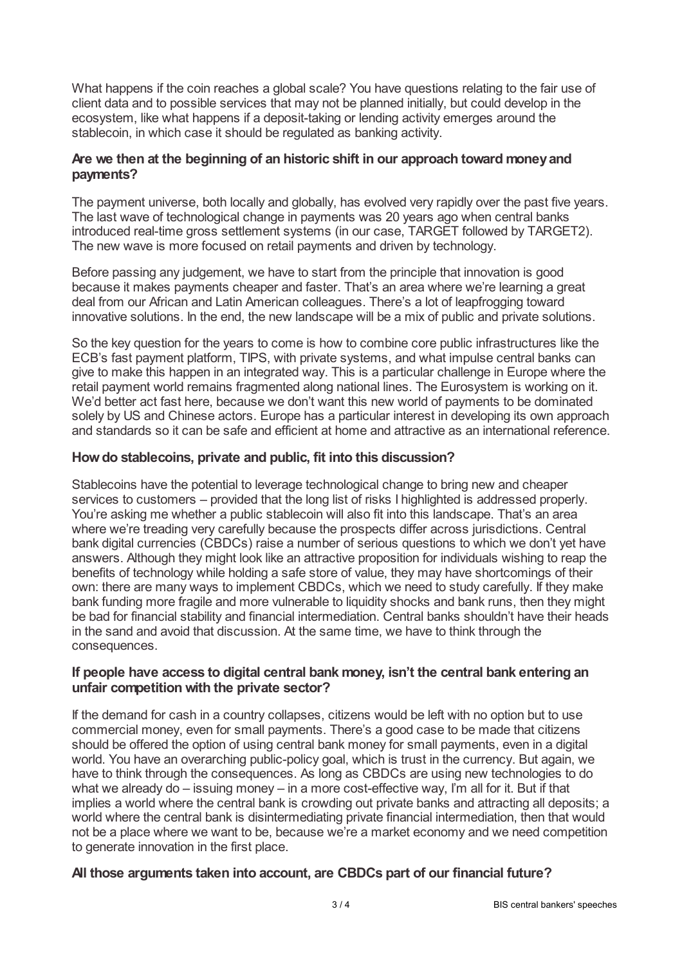What happens if the coin reaches a global scale? You have questions relating to the fair use of client data and to possible services that may not be planned initially, but could develop in the ecosystem, like what happens if a deposit-taking or lending activity emerges around the stablecoin, in which case it should be regulated as banking activity.

## **Are we then at the beginning of an historic shift in our approach toward moneyand payments?**

The payment universe, both locally and globally, has evolved very rapidly over the past five years. The last wave of technological change in payments was 20 years ago when central banks introduced real-time gross settlement systems (in our case, TARGET followed by TARGET2). The new wave is more focused on retail payments and driven by technology.

Before passing any judgement, we have to start from the principle that innovation is good because it makes payments cheaper and faster. That's an area where we're learning a great deal from our African and Latin American colleagues. There's a lot of leapfrogging toward innovative solutions. In the end, the new landscape will be a mix of public and private solutions.

So the key question for the years to come is how to combine core public infrastructures like the ECB's fast payment platform, TIPS, with private systems, and what impulse central banks can give to make this happen in an integrated way. This is a particular challenge in Europe where the retail payment world remains fragmented along national lines. The Eurosystem is working on it. We'd better act fast here, because we don't want this new world of payments to be dominated solely by US and Chinese actors. Europe has a particular interest in developing its own approach and standards so it can be safe and efficient at home and attractive as an international reference.

# **Howdo stablecoins, private and public, fit into this discussion?**

Stablecoins have the potential to leverage technological change to bring new and cheaper services to customers – provided that the long list of risks I highlighted is addressed properly. You're asking me whether a public stablecoin will also fit into this landscape. That's an area where we're treading very carefully because the prospects differ across jurisdictions. Central bank digital currencies (CBDCs) raise a number of serious questions to which we don't yet have answers. Although they might look like an attractive proposition for individuals wishing to reap the benefits of technology while holding a safe store of value, they may have shortcomings of their own: there are many ways to implement CBDCs, which we need to study carefully. If they make bank funding more fragile and more vulnerable to liquidity shocks and bank runs, then they might be bad for financial stability and financial intermediation. Central banks shouldn't have their heads in the sand and avoid that discussion. At the same time, we have to think through the consequences.

# **If people have access to digital central bank money, isn't the central bank entering an unfair competition with the private sector?**

If the demand for cash in a country collapses, citizens would be left with no option but to use commercial money, even for small payments. There's a good case to be made that citizens should be offered the option of using central bank money for small payments, even in a digital world. You have an overarching public-policy goal, which is trust in the currency. But again, we have to think through the consequences. As long as CBDCs are using new technologies to do what we already do – issuing money – in a more cost-effective way, I'm all for it. But if that implies a world where the central bank is crowding out private banks and attracting all deposits; a world where the central bank is disintermediating private financial intermediation, then that would not be a place where we want to be, because we're a market economy and we need competition to generate innovation in the first place.

# **All those arguments taken into account, are CBDCs part of our financial future?**